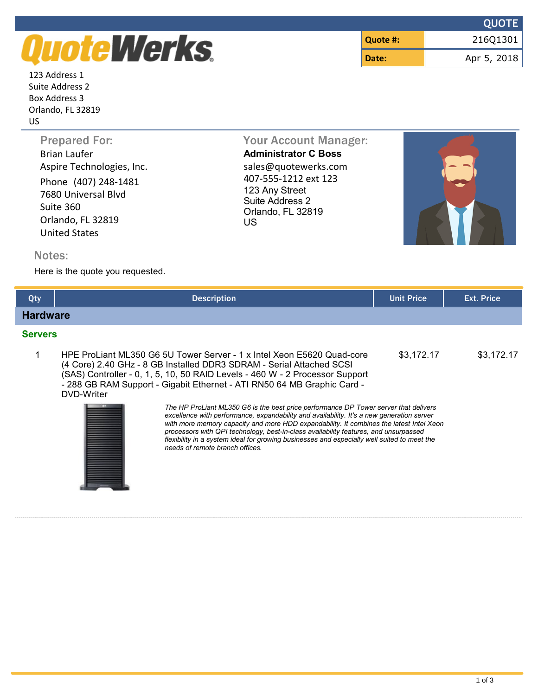## QuoteWerks.

123 Address 1 Suite Address 2 Box Address 3 Orlando, FL 32819 US

|          | <b>QUOTE</b> |
|----------|--------------|
| Quote #: | 216Q1301     |
| Date:    | Apr 5, 2018  |

Brian Laufer **Administrator C Boss** Aspire Technologies, Inc. Sales@quotewerks.com Phone (407) 248-1481 7680 Universal Blvd Suite 360 Orlando, FL 32819 United States

Prepared For: Your Account Manager: 407-555-1212 ext 123 123 Any Street Suite Address 2 Orlando, FL 32819 US



## Notes:

Here is the quote you requested.

| Qty             | <b>Description</b>                                                                                                                                                                                                                                                                                                                                                                                                                                                                                     | <b>Unit Price</b> | <b>Ext. Price</b> |
|-----------------|--------------------------------------------------------------------------------------------------------------------------------------------------------------------------------------------------------------------------------------------------------------------------------------------------------------------------------------------------------------------------------------------------------------------------------------------------------------------------------------------------------|-------------------|-------------------|
| <b>Hardware</b> |                                                                                                                                                                                                                                                                                                                                                                                                                                                                                                        |                   |                   |
| <b>Servers</b>  |                                                                                                                                                                                                                                                                                                                                                                                                                                                                                                        |                   |                   |
|                 | HPE ProLiant ML350 G6 5U Tower Server - 1 x Intel Xeon E5620 Quad-core<br>\$3,172.17<br>(4 Core) 2.40 GHz - 8 GB Installed DDR3 SDRAM - Serial Attached SCSI<br>(SAS) Controller - 0, 1, 5, 10, 50 RAID Levels - 460 W - 2 Processor Support<br>- 288 GB RAM Support - Gigabit Ethernet - ATI RN50 64 MB Graphic Card -<br>DVD-Writer                                                                                                                                                                  |                   |                   |
|                 | The HP ProLiant ML350 G6 is the best price performance DP Tower server that delivers<br>excellence with performance, expandability and availability. It's a new generation server<br>with more memory capacity and more HDD expandability. It combines the latest Intel Xeon<br>processors with QPI technology, best-in-class availability features, and unsurpassed<br>flexibility in a system ideal for growing businesses and especially well suited to meet the<br>needs of remote branch offices. |                   |                   |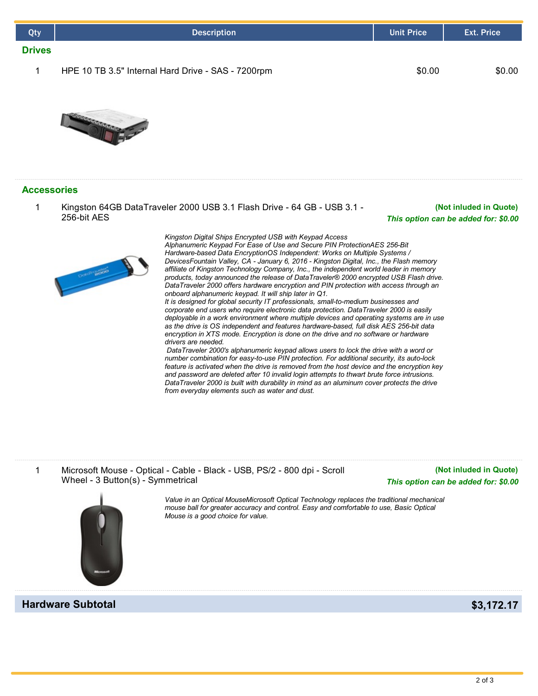| Qty                | <b>Description</b>                                                                                                                                                                                                                                                                                                                                                                                                                                                                                                                                                                                                                                                                                                                                                                                                                                                                                                                                                                                                                                                                                                                                      | <b>Unit Price</b> | <b>Ext. Price</b>      |
|--------------------|---------------------------------------------------------------------------------------------------------------------------------------------------------------------------------------------------------------------------------------------------------------------------------------------------------------------------------------------------------------------------------------------------------------------------------------------------------------------------------------------------------------------------------------------------------------------------------------------------------------------------------------------------------------------------------------------------------------------------------------------------------------------------------------------------------------------------------------------------------------------------------------------------------------------------------------------------------------------------------------------------------------------------------------------------------------------------------------------------------------------------------------------------------|-------------------|------------------------|
| <b>Drives</b>      |                                                                                                                                                                                                                                                                                                                                                                                                                                                                                                                                                                                                                                                                                                                                                                                                                                                                                                                                                                                                                                                                                                                                                         |                   |                        |
| 1                  | HPE 10 TB 3.5" Internal Hard Drive - SAS - 7200rpm                                                                                                                                                                                                                                                                                                                                                                                                                                                                                                                                                                                                                                                                                                                                                                                                                                                                                                                                                                                                                                                                                                      | \$0.00            | \$0.00                 |
|                    |                                                                                                                                                                                                                                                                                                                                                                                                                                                                                                                                                                                                                                                                                                                                                                                                                                                                                                                                                                                                                                                                                                                                                         |                   |                        |
| <b>Accessories</b> |                                                                                                                                                                                                                                                                                                                                                                                                                                                                                                                                                                                                                                                                                                                                                                                                                                                                                                                                                                                                                                                                                                                                                         |                   |                        |
| 1                  | Kingston 64GB DataTraveler 2000 USB 3.1 Flash Drive - 64 GB - USB 3.1 -<br>256-bit AES<br>This option can be added for: \$0.00                                                                                                                                                                                                                                                                                                                                                                                                                                                                                                                                                                                                                                                                                                                                                                                                                                                                                                                                                                                                                          |                   | (Not inluded in Quote) |
|                    | Kingston Digital Ships Encrypted USB with Keypad Access<br>Alphanumeric Keypad For Ease of Use and Secure PIN ProtectionAES 256-Bit<br>Hardware-based Data EncryptionOS Independent: Works on Multiple Systems /<br>DevicesFountain Valley, CA - January 6, 2016 - Kingston Digital, Inc., the Flash memory<br>affiliate of Kingston Technology Company, Inc., the independent world leader in memory<br>Donne Booo<br>products, today announced the release of DataTraveler® 2000 encrypted USB Flash drive.<br>DataTraveler 2000 offers hardware encryption and PIN protection with access through an<br>onboard alphanumeric keypad. It will ship later in Q1.<br>It is designed for global security IT professionals, small-to-medium businesses and<br>corporate end users who require electronic data protection. DataTraveler 2000 is easily<br>deployable in a work environment where multiple devices and operating systems are in use<br>as the drive is OS independent and features hardware-based, full disk AES 256-bit data<br>encryption in XTS mode. Encryption is done on the drive and no software or hardware<br>drivers are needed. |                   |                        |

*DataTraveler 2000's alphanumeric keypad allows users to lock the drive with a word or number combination for easy-to-use PIN protection. For additional security, its auto-lock feature is activated when the drive is removed from the host device and the encryption key and password are deleted after 10 invalid login attempts to thwart brute force intrusions. DataTraveler 2000 is built with durability in mind as an aluminum cover protects the drive from everyday elements such as water and dust.*



*Hardware Subtotal* **<b>\$3,172.17** 

*Value in an Optical MouseMicrosoft Optical Technology replaces the traditional mechanical mouse ball for greater accuracy and control. Easy and comfortable to use, Basic Optical Mouse is a good choice for value.*